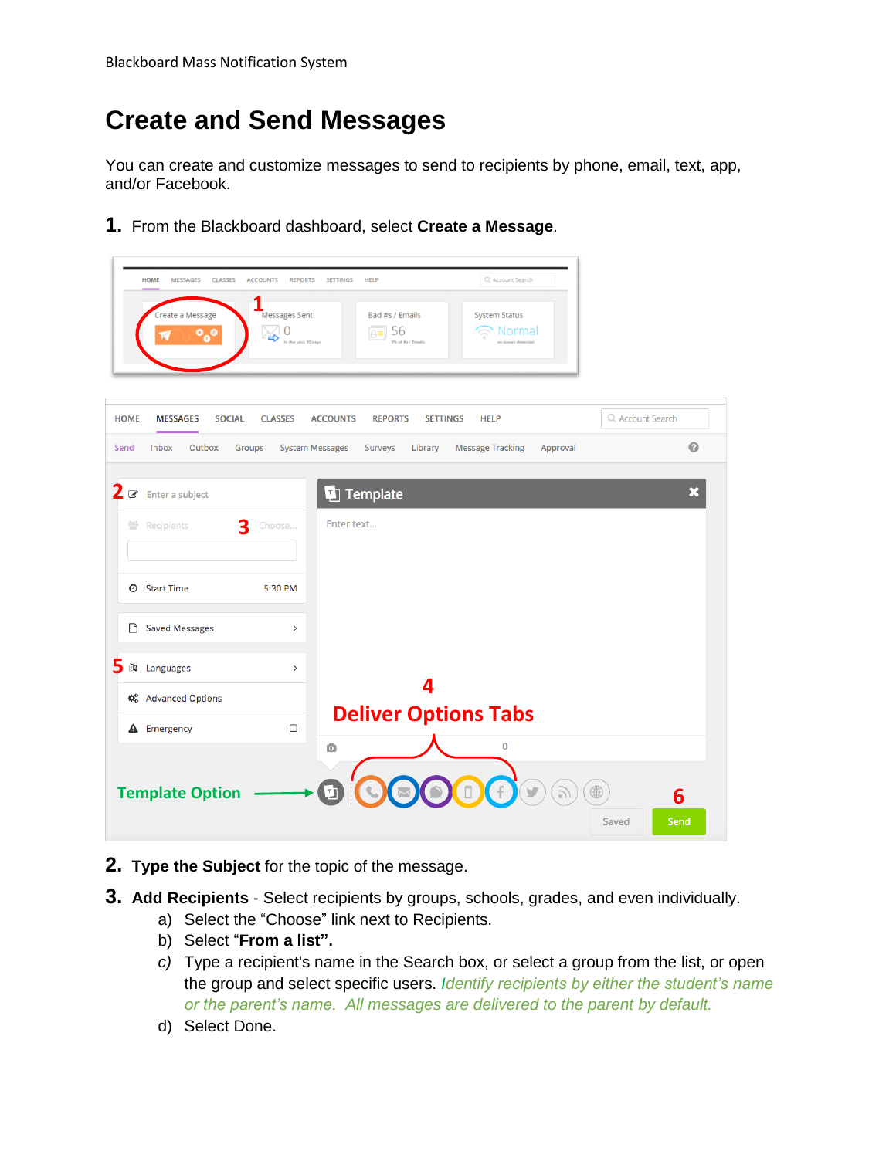# **Create and Send Messages**

You can create and customize messages to send to recipients by phone, email, text, app, and/or Facebook.

**1.** From the Blackboard dashboard, select **Create a Message**.

| <b>HOME</b><br><b>MESSAGES</b><br><b>CLASSES</b><br>Create a Message | <b>ACCOUNTS</b><br><b>REPORTS</b><br>Messages Sent<br>$\Omega$<br>ట<br>In the past 30 days | Q Account Search<br><b>SETTINGS</b><br><b>HELP</b><br>Bad #s / Emails<br><b>System Status</b><br>56<br>Normal<br>$\triangle \equiv$<br>M of #s / Emails<br>o issues detected |   |
|----------------------------------------------------------------------|--------------------------------------------------------------------------------------------|------------------------------------------------------------------------------------------------------------------------------------------------------------------------------|---|
| <b>HOME</b><br><b>MESSAGES</b><br><b>SOCIAL</b>                      | <b>CLASSES</b>                                                                             | Q Account Search<br><b>ACCOUNTS</b><br><b>REPORTS</b><br><b>SETTINGS</b><br><b>HELP</b>                                                                                      |   |
| Inbox<br>Outbox<br>Send                                              | <b>System Messages</b><br>Groups                                                           | <b>Message Tracking</b><br>Surveys<br>Library<br>Approval                                                                                                                    | 0 |
| 2<br>$\mathcal Q$<br>Enter a subject<br>3<br>Recipients<br>놤         | Choose                                                                                     | Template<br>IJ<br>Enter text                                                                                                                                                 | × |
| <b>O</b> Start Time                                                  | 5:30 PM                                                                                    |                                                                                                                                                                              |   |
| <b>Saved Messages</b><br>n                                           | $\rightarrow$                                                                              |                                                                                                                                                                              |   |
| 5<br>Languages<br>西                                                  | $\,$                                                                                       |                                                                                                                                                                              |   |
| <b>C</b> & Advanced Options                                          |                                                                                            |                                                                                                                                                                              |   |
| <b>A</b> Emergency                                                   | $\Box$                                                                                     | <b>Deliver Options Tabs</b><br>$\mathbf 0$<br>$\bullet$                                                                                                                      |   |
| <b>Template Option</b>                                               |                                                                                            | Ľ,<br>6<br>Saved<br>Send                                                                                                                                                     |   |

- **2. Type the Subject** for the topic of the message.
- **3. Add Recipients** Select recipients by groups, schools, grades, and even individually.
	- a) Select the "Choose" link next to Recipients.
	- b) Select "**From a list".**
	- *c)* Type a recipient's name in the Search box, or select a group from the list, or open the group and select specific users. *Identify recipients by either the student's name or the parent's name. All messages are delivered to the parent by default.*
	- d) Select Done.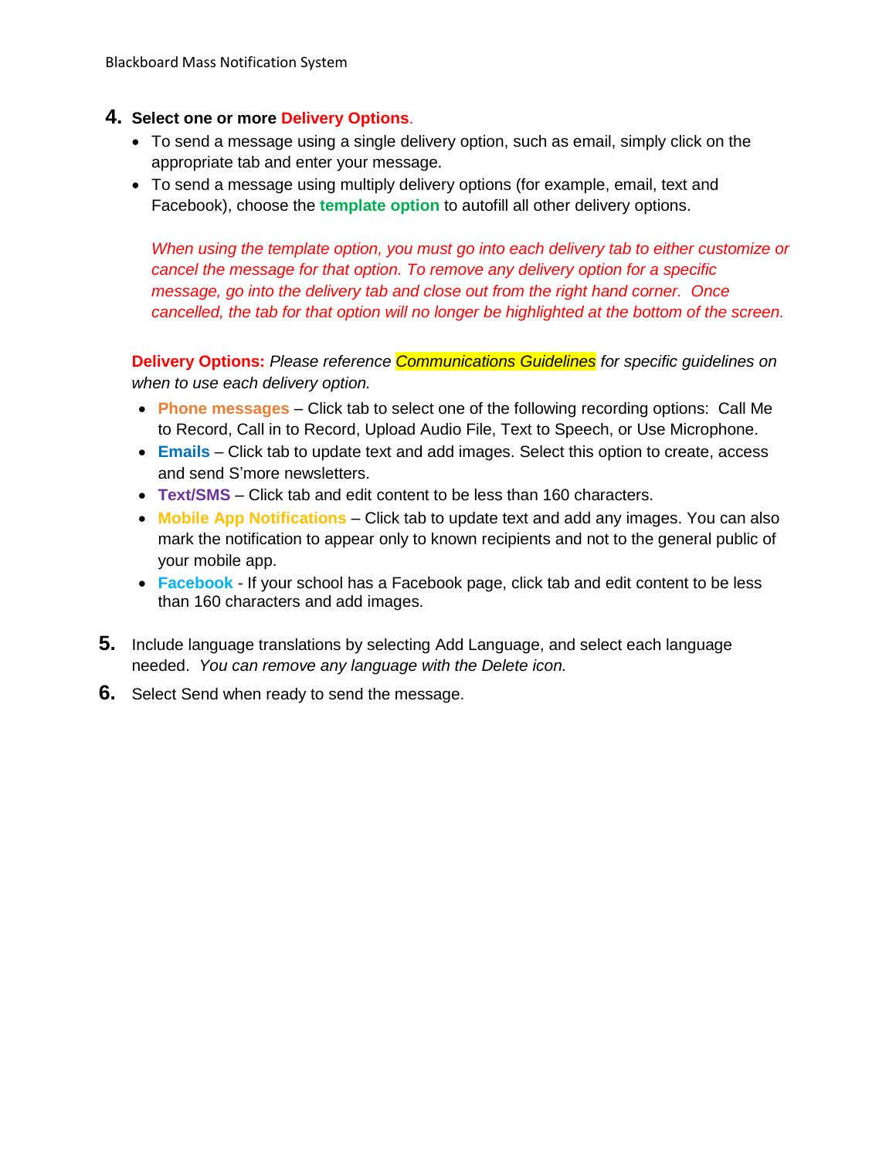#### **4. Select one or more Delivery Options**.

- To send a message using a single delivery option, such as email, simply click on the appropriate tab and enter your message.
- To send a message using multiply delivery options (for example, email, text and Facebook), choose the **template option** to autofill all other delivery options.

*When using the template option, you must go into each delivery tab to either customize or cancel the message for that option. To remove any delivery option for a specific message, go into the delivery tab and close out from the right hand corner. Once cancelled, the tab for that option will no longer be highlighted at the bottom of the screen.*

**Delivery Options:** *Please reference Communications Guidelines for specific guidelines on when to use each delivery option.*

- **Phone messages** Click tab to select one of the following recording options: Call Me to Record, Call in to Record, Upload Audio File, Text to Speech, or Use Microphone.
- **Emails** Click tab to update text and add images. Select this option to create, access and send S'more newsletters.
- **Text/SMS** Click tab and edit content to be less than 160 characters.
- **Mobile App Notifications** Click tab to update text and add any images. You can also mark the notification to appear only to known recipients and not to the general public of your mobile app.
- **Facebook** If your school has a Facebook page, click tab and edit content to be less than 160 characters and add images.
- **5.** Include language translations by selecting Add Language, and select each language needed. *You can remove any language with the Delete icon.*
- **6.** Select Send when ready to send the message.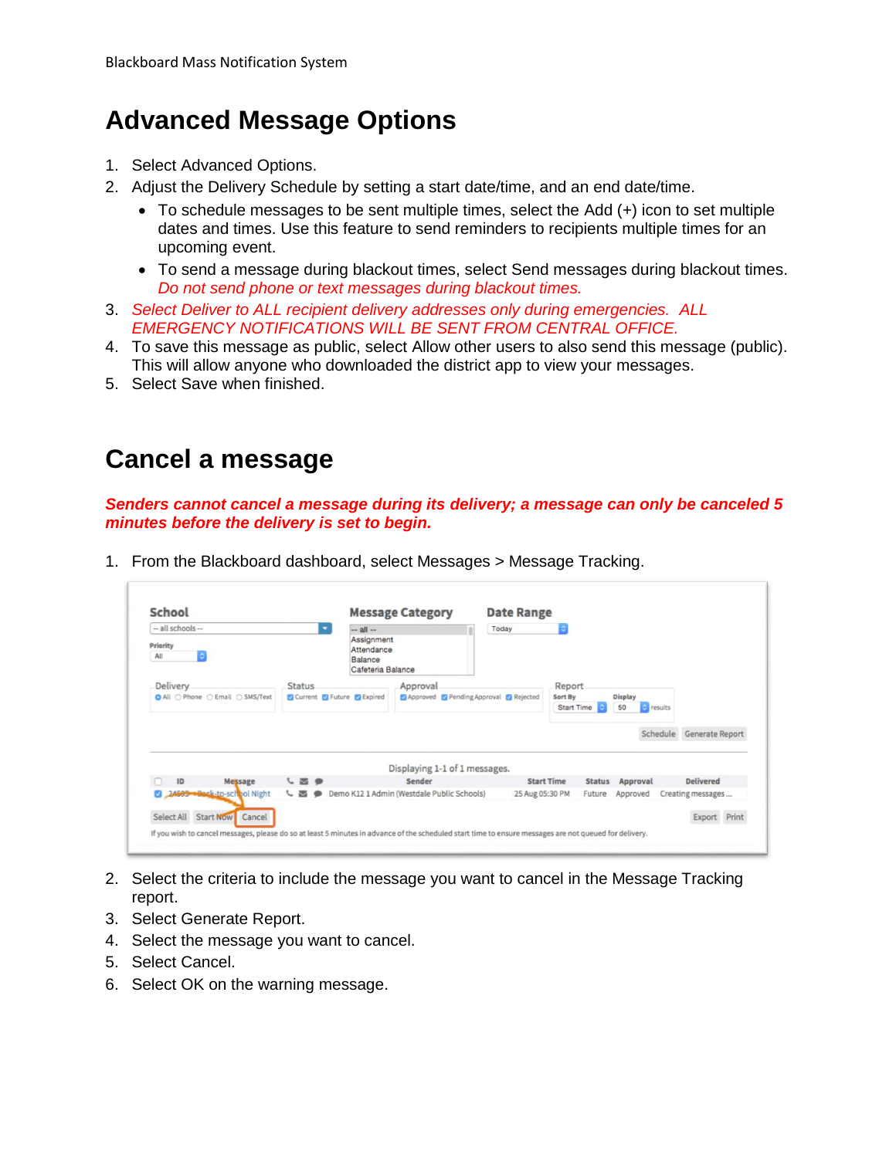## **Advanced Message Options**

- 1. Select Advanced Options.
- 2. Adjust the Delivery Schedule by setting a start date/time, and an end date/time.
	- To schedule messages to be sent multiple times, select the Add (+) icon to set multiple dates and times. Use this feature to send reminders to recipients multiple times for an upcoming event.
	- To send a message during blackout times, select Send messages during blackout times. *Do not send phone or text messages during blackout times.*
- 3. *Select Deliver to ALL recipient delivery addresses only during emergencies. ALL EMERGENCY NOTIFICATIONS WILL BE SENT FROM CENTRAL OFFICE.*
- 4. To save this message as public, select Allow other users to also send this message (public). This will allow anyone who downloaded the district app to view your messages.
- 5. Select Save when finished.

#### **Cancel a message**

*Senders cannot cancel a message during its delivery; a message can only be canceled 5 minutes before the delivery is set to begin.*

|  | 1. From the Blackboard dashboard, select Messages > Message Tracking. |  |  |  |
|--|-----------------------------------------------------------------------|--|--|--|
|  |                                                                       |  |  |  |

| -- all schools --                | ٠                          |                                                                         |                                            | Today           |                                    |          |           |                          |  |
|----------------------------------|----------------------------|-------------------------------------------------------------------------|--------------------------------------------|-----------------|------------------------------------|----------|-----------|--------------------------|--|
| Priority<br>õ<br>All             |                            | $-$ all $-$<br>Assignment<br>Attendance<br>Balance<br>Cafeteria Balance |                                            |                 |                                    |          |           |                          |  |
| <b>Delivery</b>                  | <b>Status</b>              |                                                                         | Approval                                   |                 | Report                             |          |           |                          |  |
|                                  |                            |                                                                         |                                            |                 |                                    |          |           |                          |  |
|                                  | Current C Future C Expired |                                                                         | Approved Pending Approval Pejected         |                 | Sort By                            | Display  |           |                          |  |
| O All ○ Phone ○ Email ○ SMS/Text |                            |                                                                         |                                            |                 | <b>Start Time</b><br>c             | 50       | e results |                          |  |
|                                  |                            |                                                                         |                                            |                 |                                    |          |           | Schedule Generate Report |  |
| ID<br>Message                    | $C \ncong P$               |                                                                         | Displaying 1-1 of 1 messages.<br>Sender    |                 | <b>Start Time</b><br><b>Status</b> | Approval |           | Delivered                |  |
| 24505 Beck-to-school Night       | $C \ncong P$               |                                                                         | Demo K12 1 Admin (Westdale Public Schools) | 25 Aug 05:30 PM | Future                             | Approved |           | Creating messages        |  |

- 2. Select the criteria to include the message you want to cancel in the Message Tracking report.
- 3. Select Generate Report.
- 4. Select the message you want to cancel.
- 5. Select Cancel.
- 6. Select OK on the warning message.